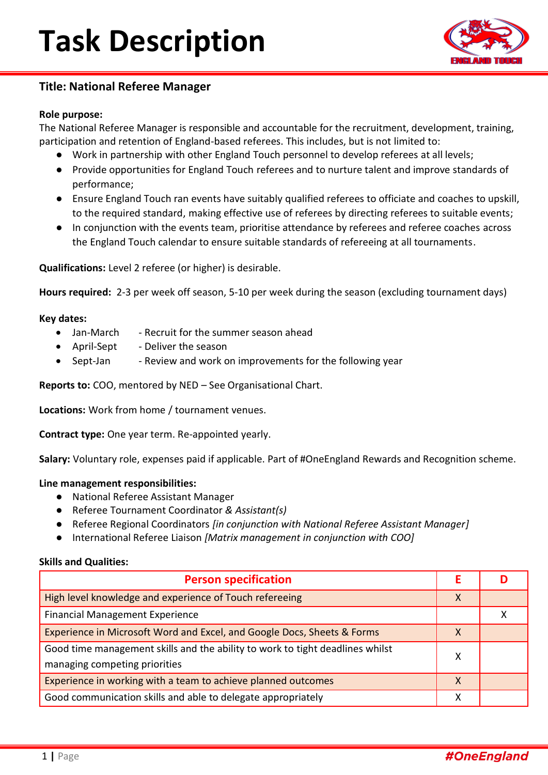

### **Title: National Referee Manager**

### **Role purpose:**

The National Referee Manager is responsible and accountable for the recruitment, development, training, participation and retention of England-based referees. This includes, but is not limited to:

- Work in partnership with other England Touch personnel to develop referees at all levels;
- Provide opportunities for England Touch referees and to nurture talent and improve standards of performance;
- Ensure England Touch ran events have suitably qualified referees to officiate and coaches to upskill, to the required standard, making effective use of referees by directing referees to suitable events;
- In conjunction with the events team, prioritise attendance by referees and referee coaches across the England Touch calendar to ensure suitable standards of refereeing at all tournaments.

**Qualifications:** Level 2 referee (or higher) is desirable.

**Hours required:** 2-3 per week off season, 5-10 per week during the season (excluding tournament days)

#### **Key dates:**

- Jan-March Recruit for the summer season ahead
- April-Sept Deliver the season
- Sept-Jan Review and work on improvements for the following year

**Reports to:** COO, mentored by NED – See Organisational Chart.

**Locations:** Work from home / tournament venues.

**Contract type:** One year term. Re-appointed yearly.

**Salary:** Voluntary role, expenses paid if applicable. Part of #OneEngland Rewards and Recognition scheme.

#### **Line management responsibilities:**

- National Referee Assistant Manager
- Referee Tournament Coordinator *& Assistant(s)*
- Referee Regional Coordinators *[in conjunction with National Referee Assistant Manager]*
- International Referee Liaison *[Matrix management in conjunction with COO]*

#### **Skills and Qualities:**

| <b>Person specification</b>                                                                                    |   |  |
|----------------------------------------------------------------------------------------------------------------|---|--|
| High level knowledge and experience of Touch refereeing                                                        | X |  |
| <b>Financial Management Experience</b>                                                                         |   |  |
| Experience in Microsoft Word and Excel, and Google Docs, Sheets & Forms                                        | X |  |
| Good time management skills and the ability to work to tight deadlines whilst<br>managing competing priorities | x |  |
| Experience in working with a team to achieve planned outcomes                                                  | X |  |
| Good communication skills and able to delegate appropriately                                                   | x |  |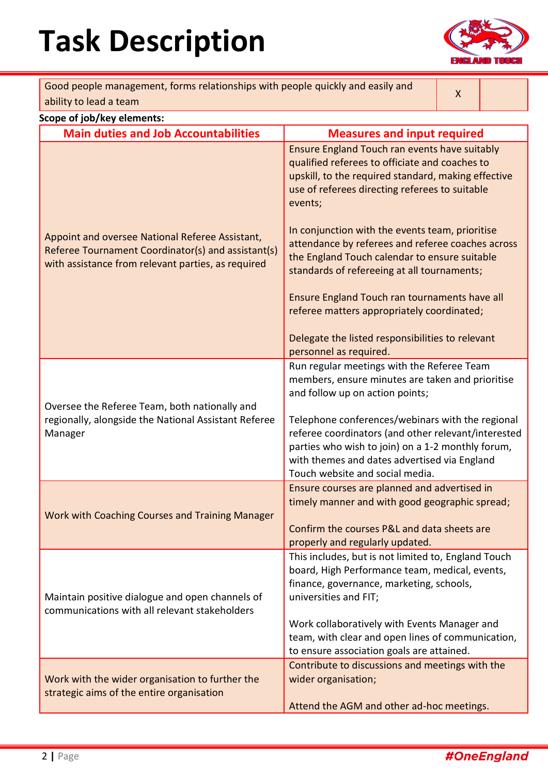# **Task Description**



| Good people management, forms relationships with people quickly and easily and<br>ability to lead a team                                                                                                   |                                                                                                                                                                                                                                                                                                                                                                                                                                                                                                                                                                                                                      | X |  |  |
|------------------------------------------------------------------------------------------------------------------------------------------------------------------------------------------------------------|----------------------------------------------------------------------------------------------------------------------------------------------------------------------------------------------------------------------------------------------------------------------------------------------------------------------------------------------------------------------------------------------------------------------------------------------------------------------------------------------------------------------------------------------------------------------------------------------------------------------|---|--|--|
| Scope of job/key elements:                                                                                                                                                                                 |                                                                                                                                                                                                                                                                                                                                                                                                                                                                                                                                                                                                                      |   |  |  |
|                                                                                                                                                                                                            |                                                                                                                                                                                                                                                                                                                                                                                                                                                                                                                                                                                                                      |   |  |  |
| <b>Main duties and Job Accountabilities</b><br>Appoint and oversee National Referee Assistant,<br>Referee Tournament Coordinator(s) and assistant(s)<br>with assistance from relevant parties, as required | <b>Measures and input required</b><br>Ensure England Touch ran events have suitably<br>qualified referees to officiate and coaches to<br>upskill, to the required standard, making effective<br>use of referees directing referees to suitable<br>events;<br>In conjunction with the events team, prioritise<br>attendance by referees and referee coaches across<br>the England Touch calendar to ensure suitable<br>standards of refereeing at all tournaments;<br>Ensure England Touch ran tournaments have all<br>referee matters appropriately coordinated;<br>Delegate the listed responsibilities to relevant |   |  |  |
| Oversee the Referee Team, both nationally and<br>regionally, alongside the National Assistant Referee<br>Manager                                                                                           | personnel as required.<br>Run regular meetings with the Referee Team<br>members, ensure minutes are taken and prioritise<br>and follow up on action points;<br>Telephone conferences/webinars with the regional<br>referee coordinators (and other relevant/interested<br>parties who wish to join) on a 1-2 monthly forum,<br>with themes and dates advertised via England<br>Touch website and social media.                                                                                                                                                                                                       |   |  |  |
| Work with Coaching Courses and Training Manager                                                                                                                                                            | Ensure courses are planned and advertised in<br>timely manner and with good geographic spread;<br>Confirm the courses P&L and data sheets are<br>properly and regularly updated.                                                                                                                                                                                                                                                                                                                                                                                                                                     |   |  |  |
| Maintain positive dialogue and open channels of<br>communications with all relevant stakeholders                                                                                                           | This includes, but is not limited to, England Touch<br>board, High Performance team, medical, events,<br>finance, governance, marketing, schools,<br>universities and FIT;<br>Work collaboratively with Events Manager and<br>team, with clear and open lines of communication,<br>to ensure association goals are attained.                                                                                                                                                                                                                                                                                         |   |  |  |
| Work with the wider organisation to further the<br>strategic aims of the entire organisation                                                                                                               | Contribute to discussions and meetings with the<br>wider organisation;<br>Attend the AGM and other ad-hoc meetings.                                                                                                                                                                                                                                                                                                                                                                                                                                                                                                  |   |  |  |